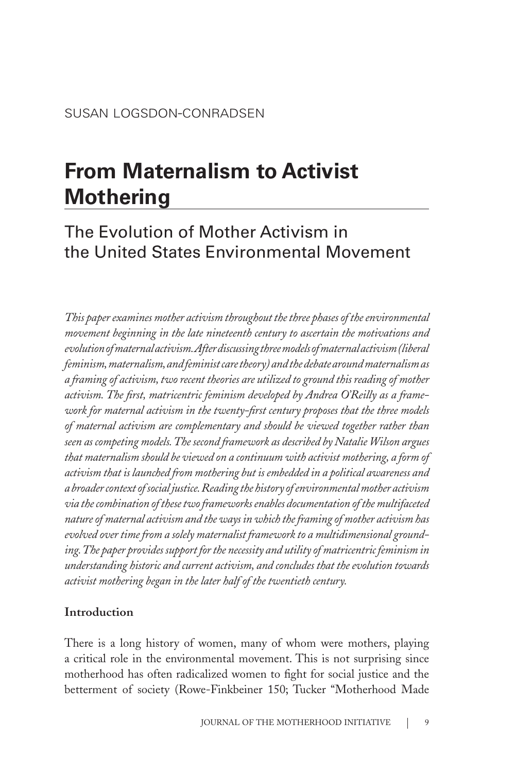# **From Maternalism to Activist Mothering**

# The Evolution of Mother Activism in the United States Environmental Movement

*This paper examines mother activism throughout the three phases of the environmental movement beginning in the late nineteenth century to ascertain the motivations and evolution of maternal activism. After discussing three models of maternal activism (liberal feminism, maternalism, and feminist care theory) and the debate around maternalism as a framing of activism, two recent theories are utilized to ground this reading of mother activism. The first, matricentric feminism developed by Andrea O'Reilly as a framework for maternal activism in the twenty-first century proposes that the three models of maternal activism are complementary and should be viewed together rather than seen as competing models. The second framework as described by Natalie Wilson argues that maternalism should be viewed on a continuum with activist mothering, a form of activism that is launched from mothering but is embedded in a political awareness and a broader context of social justice. Reading the history of environmental mother activism via the combination of these two frameworks enables documentation of the multifaceted nature of maternal activism and the ways in which the framing of mother activism has evolved over time from a solely maternalist framework to a multidimensional grounding. The paper provides support for the necessity and utility of matricentric feminism in understanding historic and current activism, and concludes that the evolution towards activist mothering began in the later half of the twentieth century.* 

## **Introduction**

There is a long history of women, many of whom were mothers, playing a critical role in the environmental movement. This is not surprising since motherhood has often radicalized women to fight for social justice and the betterment of society (Rowe-Finkbeiner 150; Tucker "Motherhood Made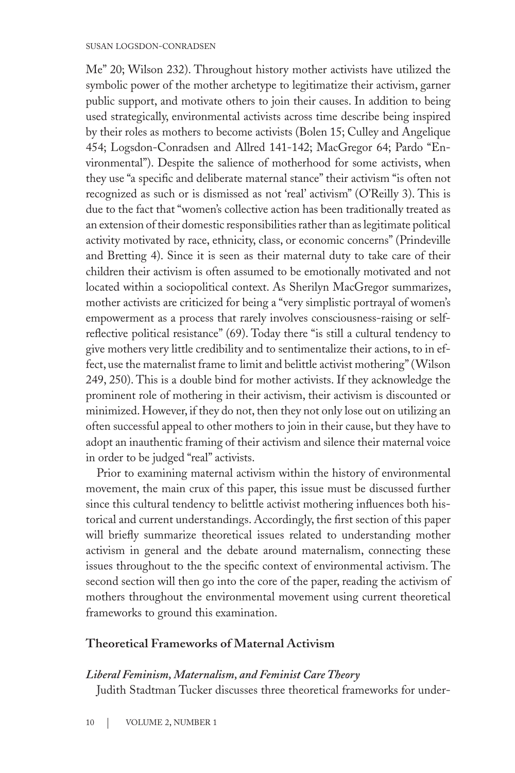#### susan logsdon-conradsen

Me" 20; Wilson 232). Throughout history mother activists have utilized the symbolic power of the mother archetype to legitimatize their activism, garner public support, and motivate others to join their causes. In addition to being used strategically, environmental activists across time describe being inspired by their roles as mothers to become activists (Bolen 15; Culley and Angelique 454; Logsdon-Conradsen and Allred 141-142; MacGregor 64; Pardo "Environmental"). Despite the salience of motherhood for some activists, when they use "a specific and deliberate maternal stance" their activism "is often not recognized as such or is dismissed as not 'real' activism" (O'Reilly 3). This is due to the fact that "women's collective action has been traditionally treated as an extension of their domestic responsibilities rather than as legitimate political activity motivated by race, ethnicity, class, or economic concerns" (Prindeville and Bretting 4). Since it is seen as their maternal duty to take care of their children their activism is often assumed to be emotionally motivated and not located within a sociopolitical context. As Sherilyn MacGregor summarizes, mother activists are criticized for being a "very simplistic portrayal of women's empowerment as a process that rarely involves consciousness-raising or selfreflective political resistance" (69). Today there "is still a cultural tendency to give mothers very little credibility and to sentimentalize their actions, to in effect, use the maternalist frame to limit and belittle activist mothering" (Wilson 249, 250). This is a double bind for mother activists. If they acknowledge the prominent role of mothering in their activism, their activism is discounted or minimized. However, if they do not, then they not only lose out on utilizing an often successful appeal to other mothers to join in their cause, but they have to adopt an inauthentic framing of their activism and silence their maternal voice in order to be judged "real" activists.

Prior to examining maternal activism within the history of environmental movement, the main crux of this paper, this issue must be discussed further since this cultural tendency to belittle activist mothering influences both historical and current understandings. Accordingly, the first section of this paper will briefly summarize theoretical issues related to understanding mother activism in general and the debate around maternalism, connecting these issues throughout to the the specific context of environmental activism. The second section will then go into the core of the paper, reading the activism of mothers throughout the environmental movement using current theoretical frameworks to ground this examination.

#### **Theoretical Frameworks of Maternal Activism**

#### *Liberal Feminism, Maternalism, and Feminist Care Theory*

Judith Stadtman Tucker discusses three theoretical frameworks for under-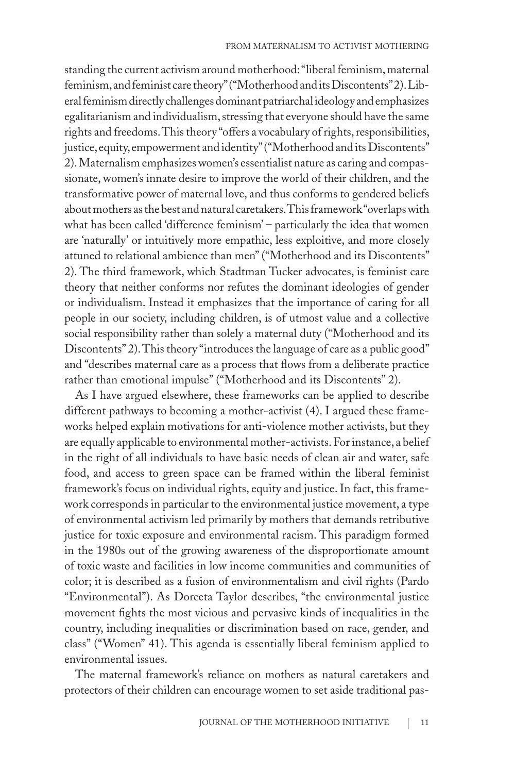standing the current activism around motherhood: "liberal feminism, maternal feminism, and feminist care theory" ("Motherhood and its Discontents" 2). Liberal feminism directly challenges dominant patriarchal ideology and emphasizes egalitarianism and individualism, stressing that everyone should have the same rights and freedoms. This theory "offers a vocabulary of rights, responsibilities, justice, equity, empowerment and identity" ("Motherhood and its Discontents" 2). Maternalism emphasizes women's essentialist nature as caring and compassionate, women's innate desire to improve the world of their children, and the transformative power of maternal love, and thus conforms to gendered beliefs about mothers as the best and natural caretakers. This framework "overlaps with what has been called 'difference feminism' – particularly the idea that women are 'naturally' or intuitively more empathic, less exploitive, and more closely attuned to relational ambience than men" ("Motherhood and its Discontents" 2). The third framework, which Stadtman Tucker advocates, is feminist care theory that neither conforms nor refutes the dominant ideologies of gender or individualism. Instead it emphasizes that the importance of caring for all people in our society, including children, is of utmost value and a collective social responsibility rather than solely a maternal duty ("Motherhood and its Discontents" 2). This theory "introduces the language of care as a public good" and "describes maternal care as a process that flows from a deliberate practice rather than emotional impulse" ("Motherhood and its Discontents" 2).

As I have argued elsewhere, these frameworks can be applied to describe different pathways to becoming a mother-activist (4). I argued these frameworks helped explain motivations for anti-violence mother activists, but they are equally applicable to environmental mother-activists. For instance, a belief in the right of all individuals to have basic needs of clean air and water, safe food, and access to green space can be framed within the liberal feminist framework's focus on individual rights, equity and justice. In fact, this framework corresponds in particular to the environmental justice movement, a type of environmental activism led primarily by mothers that demands retributive justice for toxic exposure and environmental racism. This paradigm formed in the 1980s out of the growing awareness of the disproportionate amount of toxic waste and facilities in low income communities and communities of color; it is described as a fusion of environmentalism and civil rights (Pardo "Environmental"). As Dorceta Taylor describes, "the environmental justice movement fights the most vicious and pervasive kinds of inequalities in the country, including inequalities or discrimination based on race, gender, and class" ("Women" 41). This agenda is essentially liberal feminism applied to environmental issues.

The maternal framework's reliance on mothers as natural caretakers and protectors of their children can encourage women to set aside traditional pas-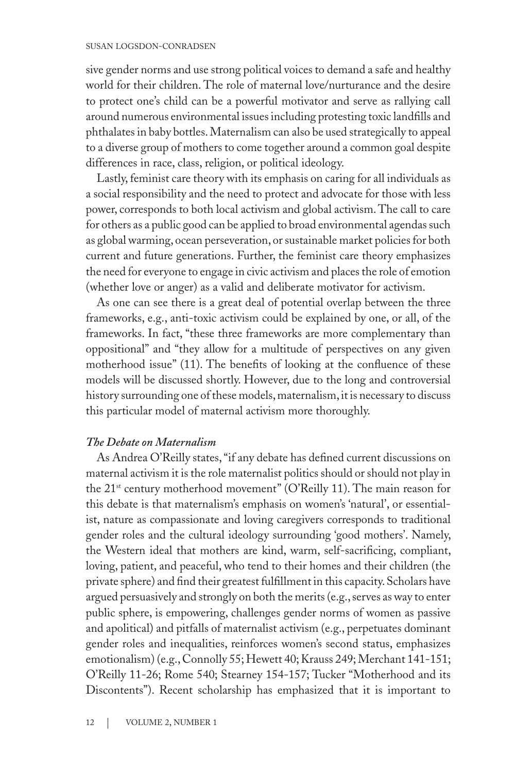#### susan logsdon-conradsen

sive gender norms and use strong political voices to demand a safe and healthy world for their children. The role of maternal love/nurturance and the desire to protect one's child can be a powerful motivator and serve as rallying call around numerous environmental issues including protesting toxic landfills and phthalates in baby bottles. Maternalism can also be used strategically to appeal to a diverse group of mothers to come together around a common goal despite differences in race, class, religion, or political ideology.

Lastly, feminist care theory with its emphasis on caring for all individuals as a social responsibility and the need to protect and advocate for those with less power, corresponds to both local activism and global activism. The call to care for others as a public good can be applied to broad environmental agendas such as global warming, ocean perseveration, or sustainable market policies for both current and future generations. Further, the feminist care theory emphasizes the need for everyone to engage in civic activism and places the role of emotion (whether love or anger) as a valid and deliberate motivator for activism.

As one can see there is a great deal of potential overlap between the three frameworks, e.g., anti-toxic activism could be explained by one, or all, of the frameworks. In fact, "these three frameworks are more complementary than oppositional" and "they allow for a multitude of perspectives on any given motherhood issue" (11). The benefits of looking at the confluence of these models will be discussed shortly. However, due to the long and controversial history surrounding one of these models, maternalism, it is necessary to discuss this particular model of maternal activism more thoroughly.

#### *The Debate on Maternalism*

As Andrea O'Reilly states, "if any debate has defined current discussions on maternal activism it is the role maternalist politics should or should not play in the 21st century motherhood movement" (O'Reilly 11). The main reason for this debate is that maternalism's emphasis on women's 'natural', or essentialist, nature as compassionate and loving caregivers corresponds to traditional gender roles and the cultural ideology surrounding 'good mothers'. Namely, the Western ideal that mothers are kind, warm, self-sacrificing, compliant, loving, patient, and peaceful, who tend to their homes and their children (the private sphere) and find their greatest fulfillment in this capacity. Scholars have argued persuasively and strongly on both the merits (e.g., serves as way to enter public sphere, is empowering, challenges gender norms of women as passive and apolitical) and pitfalls of maternalist activism (e.g., perpetuates dominant gender roles and inequalities, reinforces women's second status, emphasizes emotionalism) (e.g., Connolly 55; Hewett 40; Krauss 249; Merchant 141-151; O'Reilly 11-26; Rome 540; Stearney 154-157; Tucker "Motherhood and its Discontents"). Recent scholarship has emphasized that it is important to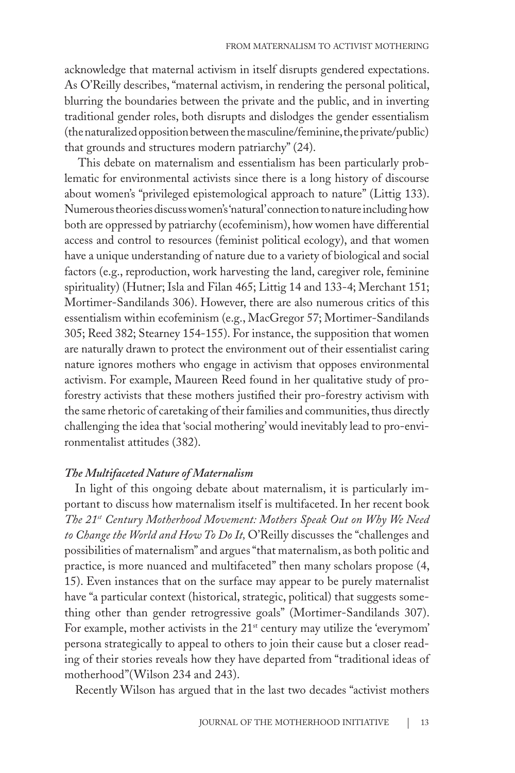acknowledge that maternal activism in itself disrupts gendered expectations. As O'Reilly describes, "maternal activism, in rendering the personal political, blurring the boundaries between the private and the public, and in inverting traditional gender roles, both disrupts and dislodges the gender essentialism (the naturalized opposition between the masculine/feminine, the private/public) that grounds and structures modern patriarchy" (24).

 This debate on maternalism and essentialism has been particularly problematic for environmental activists since there is a long history of discourse about women's "privileged epistemological approach to nature" (Littig 133). Numerous theories discuss women's 'natural' connection to nature including how both are oppressed by patriarchy (ecofeminism), how women have differential access and control to resources (feminist political ecology), and that women have a unique understanding of nature due to a variety of biological and social factors (e.g., reproduction, work harvesting the land, caregiver role, feminine spirituality) (Hutner; Isla and Filan 465; Littig 14 and 133-4; Merchant 151; Mortimer-Sandilands 306). However, there are also numerous critics of this essentialism within ecofeminism (e.g., MacGregor 57; Mortimer-Sandilands 305; Reed 382; Stearney 154-155). For instance, the supposition that women are naturally drawn to protect the environment out of their essentialist caring nature ignores mothers who engage in activism that opposes environmental activism. For example, Maureen Reed found in her qualitative study of proforestry activists that these mothers justified their pro-forestry activism with the same rhetoric of caretaking of their families and communities, thus directly challenging the idea that 'social mothering' would inevitably lead to pro-environmentalist attitudes (382).

#### *The Multifaceted Nature of Maternalism*

In light of this ongoing debate about maternalism, it is particularly important to discuss how maternalism itself is multifaceted. In her recent book *The 21st Century Motherhood Movement: Mothers Speak Out on Why We Need to Change the World and How To Do It,* O'Reilly discusses the "challenges and possibilities of maternalism" and argues "that maternalism, as both politic and practice, is more nuanced and multifaceted" then many scholars propose (4, 15). Even instances that on the surface may appear to be purely maternalist have "a particular context (historical, strategic, political) that suggests something other than gender retrogressive goals" (Mortimer-Sandilands 307). For example, mother activists in the 21<sup>st</sup> century may utilize the 'everymom' persona strategically to appeal to others to join their cause but a closer reading of their stories reveals how they have departed from "traditional ideas of motherhood"(Wilson 234 and 243).

Recently Wilson has argued that in the last two decades "activist mothers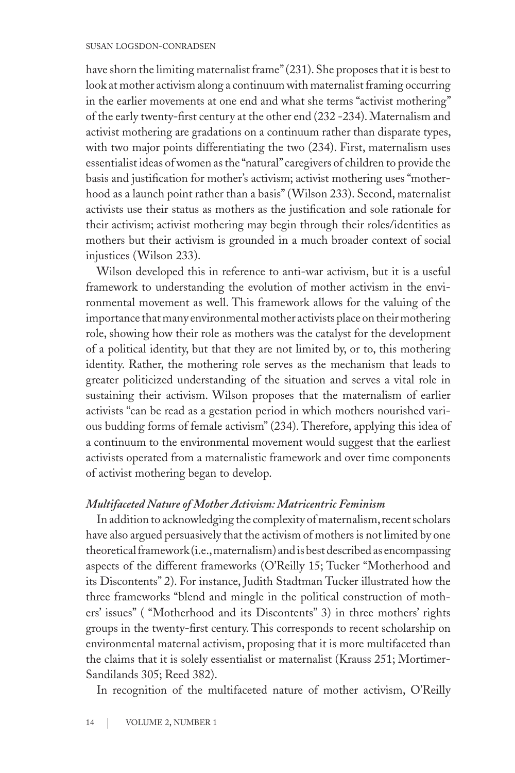have shorn the limiting maternalist frame" (231). She proposes that it is best to look at mother activism along a continuum with maternalist framing occurring in the earlier movements at one end and what she terms "activist mothering" of the early twenty-first century at the other end (232 -234). Maternalism and activist mothering are gradations on a continuum rather than disparate types, with two major points differentiating the two (234). First, maternalism uses essentialist ideas of women as the "natural" caregivers of children to provide the basis and justification for mother's activism; activist mothering uses "motherhood as a launch point rather than a basis" (Wilson 233). Second, maternalist activists use their status as mothers as the justification and sole rationale for their activism; activist mothering may begin through their roles/identities as mothers but their activism is grounded in a much broader context of social injustices (Wilson 233).

Wilson developed this in reference to anti-war activism, but it is a useful framework to understanding the evolution of mother activism in the environmental movement as well. This framework allows for the valuing of the importance that many environmental mother activists place on their mothering role, showing how their role as mothers was the catalyst for the development of a political identity, but that they are not limited by, or to, this mothering identity. Rather, the mothering role serves as the mechanism that leads to greater politicized understanding of the situation and serves a vital role in sustaining their activism. Wilson proposes that the maternalism of earlier activists "can be read as a gestation period in which mothers nourished various budding forms of female activism" (234). Therefore, applying this idea of a continuum to the environmental movement would suggest that the earliest activists operated from a maternalistic framework and over time components of activist mothering began to develop.

#### *Multifaceted Nature of Mother Activism: Matricentric Feminism*

In addition to acknowledging the complexity of maternalism, recent scholars have also argued persuasively that the activism of mothers is not limited by one theoretical framework (i.e., maternalism) and is best described as encompassing aspects of the different frameworks (O'Reilly 15; Tucker "Motherhood and its Discontents" 2). For instance, Judith Stadtman Tucker illustrated how the three frameworks "blend and mingle in the political construction of mothers' issues" ( "Motherhood and its Discontents" 3) in three mothers' rights groups in the twenty-first century. This corresponds to recent scholarship on environmental maternal activism, proposing that it is more multifaceted than the claims that it is solely essentialist or maternalist (Krauss 251; Mortimer-Sandilands 305; Reed 382).

In recognition of the multifaceted nature of mother activism, O'Reilly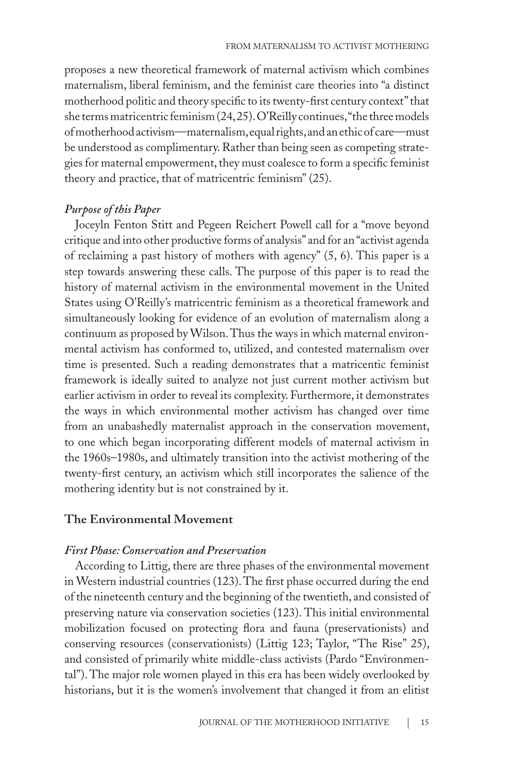proposes a new theoretical framework of maternal activism which combines maternalism, liberal feminism, and the feminist care theories into "a distinct motherhood politic and theory specific to its twenty-first century context" that she terms matricentric feminism (24, 25). O'Reilly continues, "the three models of motherhood activism—maternalism, equal rights, and an ethic of care—must be understood as complimentary. Rather than being seen as competing strategies for maternal empowerment, they must coalesce to form a specific feminist theory and practice, that of matricentric feminism" (25).

#### *Purpose of this Paper*

Joceyln Fenton Stitt and Pegeen Reichert Powell call for a "move beyond critique and into other productive forms of analysis" and for an "activist agenda of reclaiming a past history of mothers with agency" (5, 6). This paper is a step towards answering these calls. The purpose of this paper is to read the history of maternal activism in the environmental movement in the United States using O'Reilly's matricentric feminism as a theoretical framework and simultaneously looking for evidence of an evolution of maternalism along a continuum as proposed by Wilson. Thus the ways in which maternal environmental activism has conformed to, utilized, and contested maternalism over time is presented. Such a reading demonstrates that a matricentic feminist framework is ideally suited to analyze not just current mother activism but earlier activism in order to reveal its complexity. Furthermore, it demonstrates the ways in which environmental mother activism has changed over time from an unabashedly maternalist approach in the conservation movement, to one which began incorporating different models of maternal activism in the 1960s–1980s, and ultimately transition into the activist mothering of the twenty-first century, an activism which still incorporates the salience of the mothering identity but is not constrained by it.

#### **The Environmental Movement**

#### *First Phase: Conservation and Preservation*

According to Littig, there are three phases of the environmental movement in Western industrial countries (123). The first phase occurred during the end of the nineteenth century and the beginning of the twentieth, and consisted of preserving nature via conservation societies (123). This initial environmental mobilization focused on protecting flora and fauna (preservationists) and conserving resources (conservationists) (Littig 123; Taylor, "The Rise" 25), and consisted of primarily white middle-class activists (Pardo "Environmental"). The major role women played in this era has been widely overlooked by historians, but it is the women's involvement that changed it from an elitist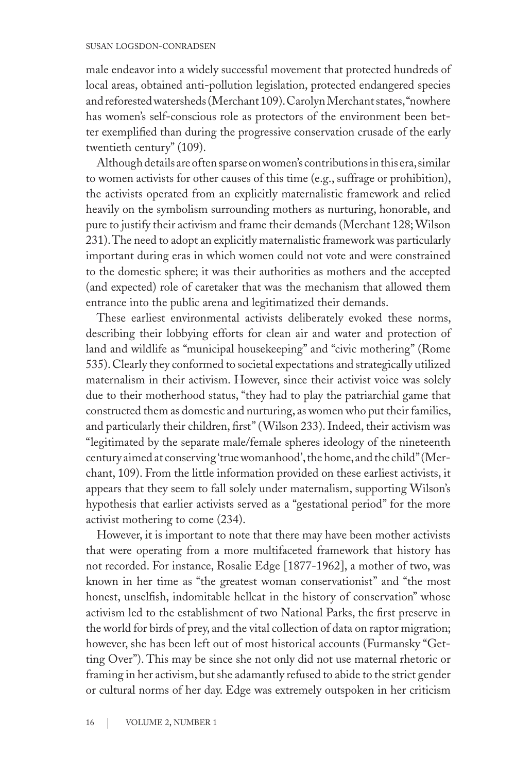male endeavor into a widely successful movement that protected hundreds of local areas, obtained anti-pollution legislation, protected endangered species and reforested watersheds (Merchant 109). Carolyn Merchant states, "nowhere has women's self-conscious role as protectors of the environment been better exemplified than during the progressive conservation crusade of the early twentieth century" (109).

Although details are often sparse on women's contributions in this era, similar to women activists for other causes of this time (e.g., suffrage or prohibition), the activists operated from an explicitly maternalistic framework and relied heavily on the symbolism surrounding mothers as nurturing, honorable, and pure to justify their activism and frame their demands (Merchant 128; Wilson 231). The need to adopt an explicitly maternalistic framework was particularly important during eras in which women could not vote and were constrained to the domestic sphere; it was their authorities as mothers and the accepted (and expected) role of caretaker that was the mechanism that allowed them entrance into the public arena and legitimatized their demands.

These earliest environmental activists deliberately evoked these norms, describing their lobbying efforts for clean air and water and protection of land and wildlife as "municipal housekeeping" and "civic mothering" (Rome 535). Clearly they conformed to societal expectations and strategically utilized maternalism in their activism. However, since their activist voice was solely due to their motherhood status, "they had to play the patriarchial game that constructed them as domestic and nurturing, as women who put their families, and particularly their children, first" (Wilson 233). Indeed, their activism was "legitimated by the separate male/female spheres ideology of the nineteenth century aimed at conserving 'true womanhood', the home, and the child" (Merchant, 109). From the little information provided on these earliest activists, it appears that they seem to fall solely under maternalism, supporting Wilson's hypothesis that earlier activists served as a "gestational period" for the more activist mothering to come (234).

However, it is important to note that there may have been mother activists that were operating from a more multifaceted framework that history has not recorded. For instance, Rosalie Edge [1877-1962], a mother of two, was known in her time as "the greatest woman conservationist" and "the most honest, unselfish, indomitable hellcat in the history of conservation" whose activism led to the establishment of two National Parks, the first preserve in the world for birds of prey, and the vital collection of data on raptor migration; however, she has been left out of most historical accounts (Furmansky "Getting Over"). This may be since she not only did not use maternal rhetoric or framing in her activism, but she adamantly refused to abide to the strict gender or cultural norms of her day. Edge was extremely outspoken in her criticism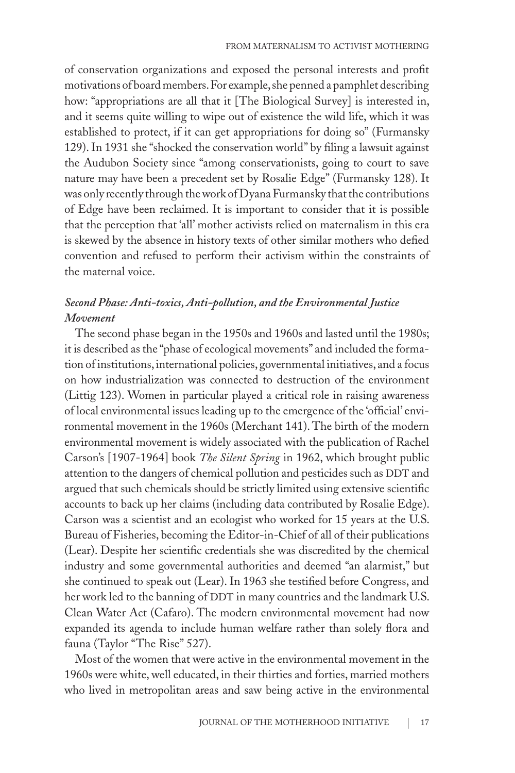of conservation organizations and exposed the personal interests and profit motivations of board members. For example, she penned a pamphlet describing how: "appropriations are all that it [The Biological Survey] is interested in, and it seems quite willing to wipe out of existence the wild life, which it was established to protect, if it can get appropriations for doing so" (Furmansky 129). In 1931 she "shocked the conservation world" by filing a lawsuit against the Audubon Society since "among conservationists, going to court to save nature may have been a precedent set by Rosalie Edge" (Furmansky 128). It was only recently through the work of Dyana Furmansky that the contributions of Edge have been reclaimed. It is important to consider that it is possible that the perception that 'all' mother activists relied on maternalism in this era is skewed by the absence in history texts of other similar mothers who defied convention and refused to perform their activism within the constraints of the maternal voice.

# *Second Phase: Anti-toxics, Anti-pollution, and the Environmental Justice Movement*

The second phase began in the 1950s and 1960s and lasted until the 1980s; it is described as the "phase of ecological movements" and included the formation of institutions, international policies, governmental initiatives, and a focus on how industrialization was connected to destruction of the environment (Littig 123). Women in particular played a critical role in raising awareness of local environmental issues leading up to the emergence of the 'official' environmental movement in the 1960s (Merchant 141). The birth of the modern environmental movement is widely associated with the publication of Rachel Carson's [1907-1964] book *The Silent Spring* in 1962, which brought public attention to the dangers of chemical pollution and pesticides such as DDT and argued that such chemicals should be strictly limited using extensive scientific accounts to back up her claims (including data contributed by Rosalie Edge). Carson was a scientist and an ecologist who worked for 15 years at the U.S. Bureau of Fisheries, becoming the Editor-in-Chief of all of their publications (Lear). Despite her scientific credentials she was discredited by the chemical industry and some governmental authorities and deemed "an alarmist," but she continued to speak out (Lear). In 1963 she testified before Congress, and her work led to the banning of DDT in many countries and the landmark U.S. Clean Water Act (Cafaro). The modern environmental movement had now expanded its agenda to include human welfare rather than solely flora and fauna (Taylor "The Rise" 527).

Most of the women that were active in the environmental movement in the 1960s were white, well educated, in their thirties and forties, married mothers who lived in metropolitan areas and saw being active in the environmental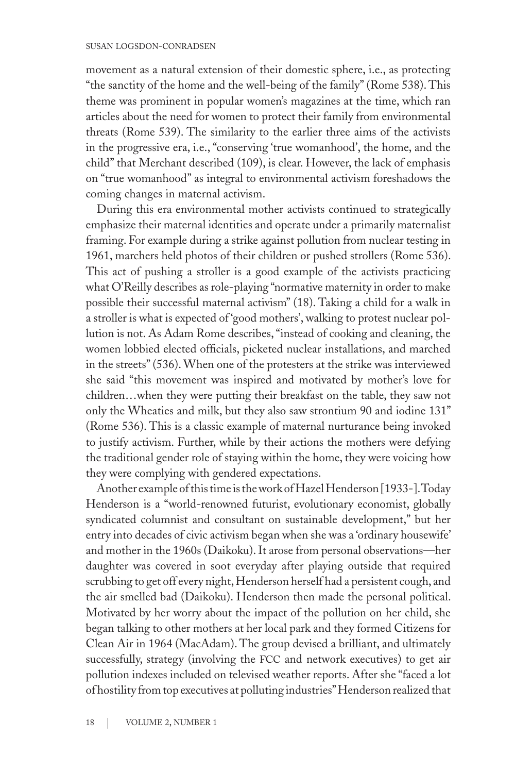movement as a natural extension of their domestic sphere, i.e., as protecting "the sanctity of the home and the well-being of the family" (Rome 538). This theme was prominent in popular women's magazines at the time, which ran articles about the need for women to protect their family from environmental threats (Rome 539). The similarity to the earlier three aims of the activists in the progressive era, i.e., "conserving 'true womanhood', the home, and the child" that Merchant described (109), is clear. However, the lack of emphasis on "true womanhood" as integral to environmental activism foreshadows the coming changes in maternal activism.

During this era environmental mother activists continued to strategically emphasize their maternal identities and operate under a primarily maternalist framing. For example during a strike against pollution from nuclear testing in 1961, marchers held photos of their children or pushed strollers (Rome 536). This act of pushing a stroller is a good example of the activists practicing what O'Reilly describes as role-playing "normative maternity in order to make possible their successful maternal activism" (18). Taking a child for a walk in a stroller is what is expected of 'good mothers', walking to protest nuclear pollution is not. As Adam Rome describes, "instead of cooking and cleaning, the women lobbied elected officials, picketed nuclear installations, and marched in the streets" (536). When one of the protesters at the strike was interviewed she said "this movement was inspired and motivated by mother's love for children…when they were putting their breakfast on the table, they saw not only the Wheaties and milk, but they also saw strontium 90 and iodine 131" (Rome 536). This is a classic example of maternal nurturance being invoked to justify activism. Further, while by their actions the mothers were defying the traditional gender role of staying within the home, they were voicing how they were complying with gendered expectations.

Another example of this time is the work of Hazel Henderson [1933-]. Today Henderson is a "world-renowned futurist, evolutionary economist, globally syndicated columnist and consultant on sustainable development," but her entry into decades of civic activism began when she was a 'ordinary housewife' and mother in the 1960s (Daikoku). It arose from personal observations—her daughter was covered in soot everyday after playing outside that required scrubbing to get off every night, Henderson herself had a persistent cough, and the air smelled bad (Daikoku). Henderson then made the personal political. Motivated by her worry about the impact of the pollution on her child, she began talking to other mothers at her local park and they formed Citizens for Clean Air in 1964 (MacAdam). The group devised a brilliant, and ultimately successfully, strategy (involving the FCC and network executives) to get air pollution indexes included on televised weather reports. After she "faced a lot of hostility from top executives at polluting industries" Henderson realized that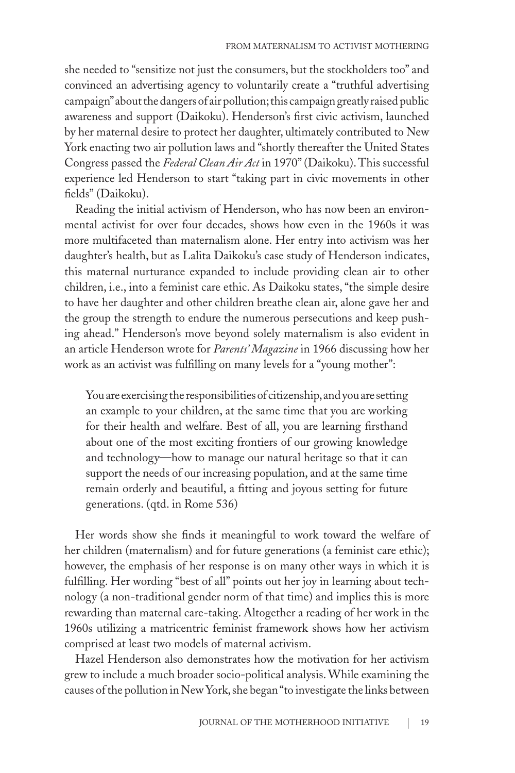she needed to "sensitize not just the consumers, but the stockholders too" and convinced an advertising agency to voluntarily create a "truthful advertising campaign" about the dangers of air pollution; this campaign greatly raised public awareness and support (Daikoku). Henderson's first civic activism, launched by her maternal desire to protect her daughter, ultimately contributed to New York enacting two air pollution laws and "shortly thereafter the United States Congress passed the *Federal Clean Air Act* in 1970" (Daikoku). This successful experience led Henderson to start "taking part in civic movements in other fields" (Daikoku).

Reading the initial activism of Henderson, who has now been an environmental activist for over four decades, shows how even in the 1960s it was more multifaceted than maternalism alone. Her entry into activism was her daughter's health, but as Lalita Daikoku's case study of Henderson indicates, this maternal nurturance expanded to include providing clean air to other children, i.e., into a feminist care ethic. As Daikoku states, "the simple desire to have her daughter and other children breathe clean air, alone gave her and the group the strength to endure the numerous persecutions and keep pushing ahead." Henderson's move beyond solely maternalism is also evident in an article Henderson wrote for *Parents' Magazine* in 1966 discussing how her work as an activist was fulfilling on many levels for a "young mother":

You are exercising the responsibilities of citizenship, and you are setting an example to your children, at the same time that you are working for their health and welfare. Best of all, you are learning firsthand about one of the most exciting frontiers of our growing knowledge and technology—how to manage our natural heritage so that it can support the needs of our increasing population, and at the same time remain orderly and beautiful, a fitting and joyous setting for future generations. (qtd. in Rome 536)

Her words show she finds it meaningful to work toward the welfare of her children (maternalism) and for future generations (a feminist care ethic); however, the emphasis of her response is on many other ways in which it is fulfilling. Her wording "best of all" points out her joy in learning about technology (a non-traditional gender norm of that time) and implies this is more rewarding than maternal care-taking. Altogether a reading of her work in the 1960s utilizing a matricentric feminist framework shows how her activism comprised at least two models of maternal activism.

Hazel Henderson also demonstrates how the motivation for her activism grew to include a much broader socio-political analysis. While examining the causes of the pollution in New York, she began "to investigate the links between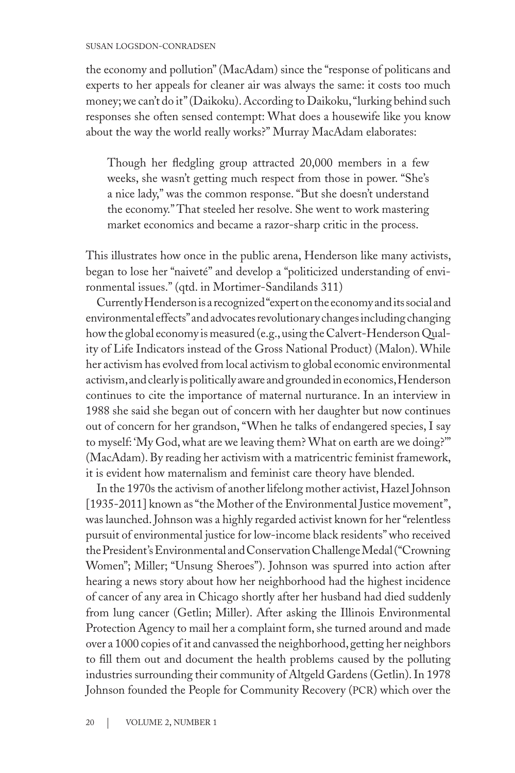#### susan logsdon-conradsen

the economy and pollution" (MacAdam) since the "response of politicans and experts to her appeals for cleaner air was always the same: it costs too much money; we can't do it" (Daikoku). According to Daikoku, "lurking behind such responses she often sensed contempt: What does a housewife like you know about the way the world really works?" Murray MacAdam elaborates:

Though her fledgling group attracted 20,000 members in a few weeks, she wasn't getting much respect from those in power. "She's a nice lady," was the common response. "But she doesn't understand the economy." That steeled her resolve. She went to work mastering market economics and became a razor-sharp critic in the process.

This illustrates how once in the public arena, Henderson like many activists, began to lose her "naiveté" and develop a "politicized understanding of environmental issues." (qtd. in Mortimer-Sandilands 311)

Currently Henderson is a recognized "expert on the economy and its social and environmental effects" and advocates revolutionary changes including changing how the global economy is measured (e.g., using the Calvert-Henderson Quality of Life Indicators instead of the Gross National Product) (Malon). While her activism has evolved from local activism to global economic environmental activism, and clearly is politically aware and grounded in economics, Henderson continues to cite the importance of maternal nurturance. In an interview in 1988 she said she began out of concern with her daughter but now continues out of concern for her grandson, "When he talks of endangered species, I say to myself: 'My God, what are we leaving them? What on earth are we doing?'" (MacAdam). By reading her activism with a matricentric feminist framework, it is evident how maternalism and feminist care theory have blended.

In the 1970s the activism of another lifelong mother activist, Hazel Johnson [1935-2011] known as "the Mother of the Environmental Justice movement", was launched. Johnson was a highly regarded activist known for her "relentless pursuit of environmental justice for low-income black residents" who received the President's Environmental and Conservation Challenge Medal ("Crowning Women"; Miller; "Unsung Sheroes"). Johnson was spurred into action after hearing a news story about how her neighborhood had the highest incidence of cancer of any area in Chicago shortly after her husband had died suddenly from lung cancer (Getlin; Miller). After asking the Illinois Environmental Protection Agency to mail her a complaint form, she turned around and made over a 1000 copies of it and canvassed the neighborhood, getting her neighbors to fill them out and document the health problems caused by the polluting industries surrounding their community of Altgeld Gardens (Getlin). In 1978 Johnson founded the People for Community Recovery (pcr) which over the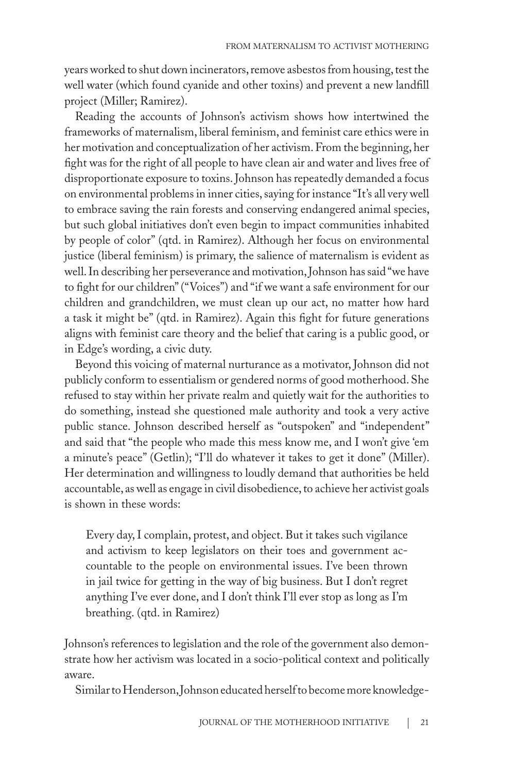years worked to shut down incinerators, remove asbestos from housing, test the well water (which found cyanide and other toxins) and prevent a new landfill project (Miller; Ramirez).

Reading the accounts of Johnson's activism shows how intertwined the frameworks of maternalism, liberal feminism, and feminist care ethics were in her motivation and conceptualization of her activism. From the beginning, her fight was for the right of all people to have clean air and water and lives free of disproportionate exposure to toxins. Johnson has repeatedly demanded a focus on environmental problems in inner cities, saying for instance "It's all very well to embrace saving the rain forests and conserving endangered animal species, but such global initiatives don't even begin to impact communities inhabited by people of color" (qtd. in Ramirez). Although her focus on environmental justice (liberal feminism) is primary, the salience of maternalism is evident as well. In describing her perseverance and motivation, Johnson has said "we have to fight for our children" ("Voices") and "if we want a safe environment for our children and grandchildren, we must clean up our act, no matter how hard a task it might be" (qtd. in Ramirez). Again this fight for future generations aligns with feminist care theory and the belief that caring is a public good, or in Edge's wording, a civic duty.

Beyond this voicing of maternal nurturance as a motivator, Johnson did not publicly conform to essentialism or gendered norms of good motherhood. She refused to stay within her private realm and quietly wait for the authorities to do something, instead she questioned male authority and took a very active public stance. Johnson described herself as "outspoken" and "independent" and said that "the people who made this mess know me, and I won't give 'em a minute's peace" (Getlin); "I'll do whatever it takes to get it done" (Miller). Her determination and willingness to loudly demand that authorities be held accountable, as well as engage in civil disobedience, to achieve her activist goals is shown in these words:

Every day, I complain, protest, and object. But it takes such vigilance and activism to keep legislators on their toes and government accountable to the people on environmental issues. I've been thrown in jail twice for getting in the way of big business. But I don't regret anything I've ever done, and I don't think I'll ever stop as long as I'm breathing. (qtd. in Ramirez)

Johnson's references to legislation and the role of the government also demonstrate how her activism was located in a socio-political context and politically aware.

Similar to Henderson, Johnson educated herself to become more knowledge-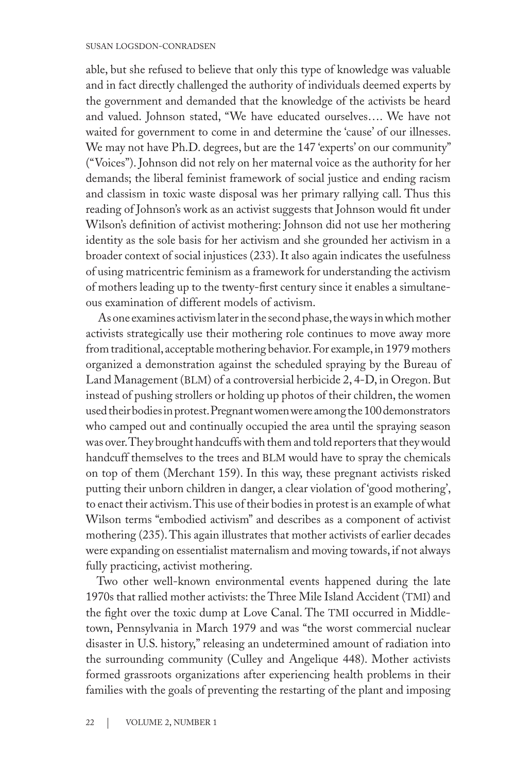able, but she refused to believe that only this type of knowledge was valuable and in fact directly challenged the authority of individuals deemed experts by the government and demanded that the knowledge of the activists be heard and valued. Johnson stated, "We have educated ourselves…. We have not waited for government to come in and determine the 'cause' of our illnesses. We may not have Ph.D. degrees, but are the 147 'experts' on our community" ("Voices"). Johnson did not rely on her maternal voice as the authority for her demands; the liberal feminist framework of social justice and ending racism and classism in toxic waste disposal was her primary rallying call. Thus this reading of Johnson's work as an activist suggests that Johnson would fit under Wilson's definition of activist mothering: Johnson did not use her mothering identity as the sole basis for her activism and she grounded her activism in a broader context of social injustices (233). It also again indicates the usefulness of using matricentric feminism as a framework for understanding the activism of mothers leading up to the twenty-first century since it enables a simultaneous examination of different models of activism.

 As one examines activism later in the second phase, the ways in which mother activists strategically use their mothering role continues to move away more from traditional, acceptable mothering behavior. For example, in 1979 mothers organized a demonstration against the scheduled spraying by the Bureau of Land Management (BLM) of a controversial herbicide 2, 4-D, in Oregon. But instead of pushing strollers or holding up photos of their children, the women used their bodies in protest. Pregnant women were among the 100 demonstrators who camped out and continually occupied the area until the spraying season was over. They brought handcuffs with them and told reporters that they would handcuff themselves to the trees and BLM would have to spray the chemicals on top of them (Merchant 159). In this way, these pregnant activists risked putting their unborn children in danger, a clear violation of 'good mothering', to enact their activism. This use of their bodies in protest is an example of what Wilson terms "embodied activism" and describes as a component of activist mothering (235). This again illustrates that mother activists of earlier decades were expanding on essentialist maternalism and moving towards, if not always fully practicing, activist mothering.

Two other well-known environmental events happened during the late 1970s that rallied mother activists: the Three Mile Island Accident (TMI) and the fight over the toxic dump at Love Canal. The TMI occurred in Middletown, Pennsylvania in March 1979 and was "the worst commercial nuclear disaster in U.S. history," releasing an undetermined amount of radiation into the surrounding community (Culley and Angelique 448). Mother activists formed grassroots organizations after experiencing health problems in their families with the goals of preventing the restarting of the plant and imposing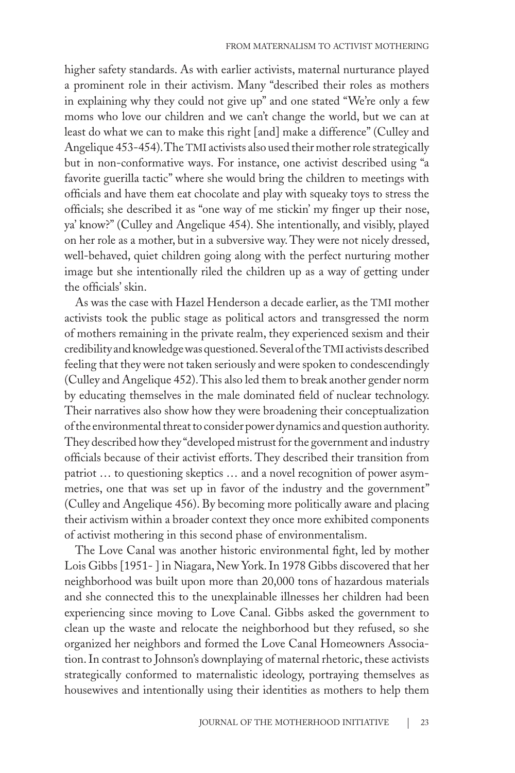higher safety standards. As with earlier activists, maternal nurturance played a prominent role in their activism. Many "described their roles as mothers in explaining why they could not give up" and one stated "We're only a few moms who love our children and we can't change the world, but we can at least do what we can to make this right [and] make a difference" (Culley and Angelique 453-454). The TMI activists also used their mother role strategically but in non-conformative ways. For instance, one activist described using "a favorite guerilla tactic" where she would bring the children to meetings with officials and have them eat chocolate and play with squeaky toys to stress the officials; she described it as "one way of me stickin' my finger up their nose, ya' know?" (Culley and Angelique 454). She intentionally, and visibly, played on her role as a mother, but in a subversive way. They were not nicely dressed, well-behaved, quiet children going along with the perfect nurturing mother image but she intentionally riled the children up as a way of getting under the officials' skin.

As was the case with Hazel Henderson a decade earlier, as the TMI mother activists took the public stage as political actors and transgressed the norm of mothers remaining in the private realm, they experienced sexism and their credibility and knowledge was questioned. Several of the TMI activists described feeling that they were not taken seriously and were spoken to condescendingly (Culley and Angelique 452). This also led them to break another gender norm by educating themselves in the male dominated field of nuclear technology. Their narratives also show how they were broadening their conceptualization of the environmental threat to consider power dynamics and question authority. They described how they "developed mistrust for the government and industry officials because of their activist efforts. They described their transition from patriot … to questioning skeptics … and a novel recognition of power asymmetries, one that was set up in favor of the industry and the government" (Culley and Angelique 456). By becoming more politically aware and placing their activism within a broader context they once more exhibited components of activist mothering in this second phase of environmentalism.

The Love Canal was another historic environmental fight, led by mother Lois Gibbs [1951- ] in Niagara, New York. In 1978 Gibbs discovered that her neighborhood was built upon more than 20,000 tons of hazardous materials and she connected this to the unexplainable illnesses her children had been experiencing since moving to Love Canal. Gibbs asked the government to clean up the waste and relocate the neighborhood but they refused, so she organized her neighbors and formed the Love Canal Homeowners Association. In contrast to Johnson's downplaying of maternal rhetoric, these activists strategically conformed to maternalistic ideology, portraying themselves as housewives and intentionally using their identities as mothers to help them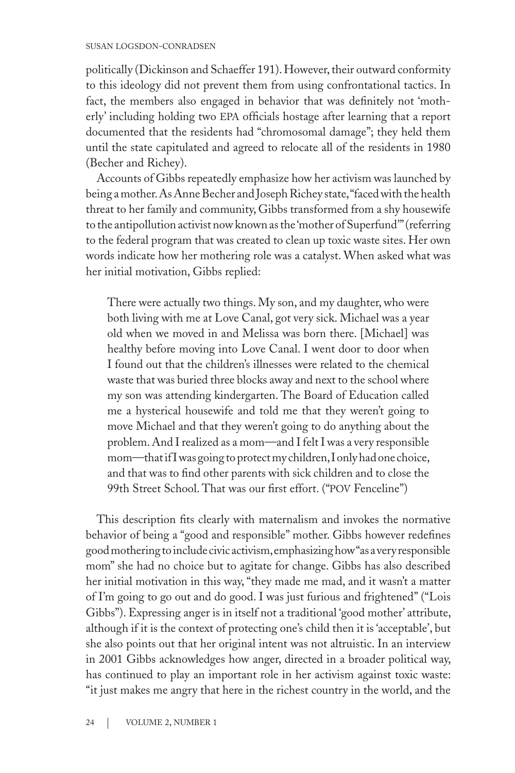politically (Dickinson and Schaeffer 191). However, their outward conformity to this ideology did not prevent them from using confrontational tactics. In fact, the members also engaged in behavior that was definitely not 'motherly' including holding two epa officials hostage after learning that a report documented that the residents had "chromosomal damage"; they held them until the state capitulated and agreed to relocate all of the residents in 1980 (Becher and Richey).

Accounts of Gibbs repeatedly emphasize how her activism was launched by being a mother. As Anne Becher and Joseph Richey state, "faced with the health threat to her family and community, Gibbs transformed from a shy housewife to the antipollution activist now known as the 'mother of Superfund'" (referring to the federal program that was created to clean up toxic waste sites. Her own words indicate how her mothering role was a catalyst. When asked what was her initial motivation, Gibbs replied:

There were actually two things. My son, and my daughter, who were both living with me at Love Canal, got very sick. Michael was a year old when we moved in and Melissa was born there. [Michael] was healthy before moving into Love Canal. I went door to door when I found out that the children's illnesses were related to the chemical waste that was buried three blocks away and next to the school where my son was attending kindergarten. The Board of Education called me a hysterical housewife and told me that they weren't going to move Michael and that they weren't going to do anything about the problem. And I realized as a mom—and I felt I was a very responsible mom—that if I was going to protect my children, I only had one choice, and that was to find other parents with sick children and to close the 99th Street School. That was our first effort. ("pov Fenceline")

This description fits clearly with maternalism and invokes the normative behavior of being a "good and responsible" mother. Gibbs however redefines good mothering to include civic activism, emphasizing how "as a very responsible mom" she had no choice but to agitate for change. Gibbs has also described her initial motivation in this way, "they made me mad, and it wasn't a matter of I'm going to go out and do good. I was just furious and frightened" ("Lois Gibbs"). Expressing anger is in itself not a traditional 'good mother' attribute, although if it is the context of protecting one's child then it is 'acceptable', but she also points out that her original intent was not altruistic. In an interview in 2001 Gibbs acknowledges how anger, directed in a broader political way, has continued to play an important role in her activism against toxic waste: "it just makes me angry that here in the richest country in the world, and the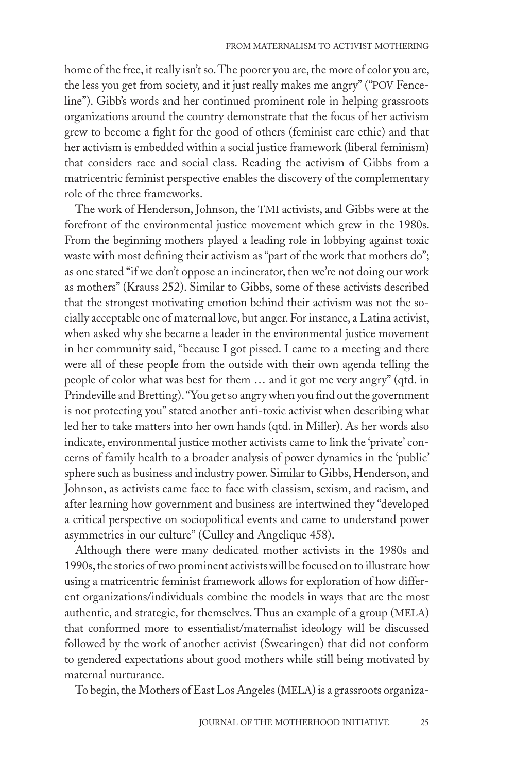home of the free, it really isn't so. The poorer you are, the more of color you are, the less you get from society, and it just really makes me angry" ("pov Fenceline"). Gibb's words and her continued prominent role in helping grassroots organizations around the country demonstrate that the focus of her activism grew to become a fight for the good of others (feminist care ethic) and that her activism is embedded within a social justice framework (liberal feminism) that considers race and social class. Reading the activism of Gibbs from a matricentric feminist perspective enables the discovery of the complementary role of the three frameworks.

The work of Henderson, Johnson, the TMI activists, and Gibbs were at the forefront of the environmental justice movement which grew in the 1980s. From the beginning mothers played a leading role in lobbying against toxic waste with most defining their activism as "part of the work that mothers do"; as one stated "if we don't oppose an incinerator, then we're not doing our work as mothers" (Krauss 252). Similar to Gibbs, some of these activists described that the strongest motivating emotion behind their activism was not the socially acceptable one of maternal love, but anger. For instance, a Latina activist, when asked why she became a leader in the environmental justice movement in her community said, "because I got pissed. I came to a meeting and there were all of these people from the outside with their own agenda telling the people of color what was best for them … and it got me very angry" (qtd. in Prindeville and Bretting). "You get so angry when you find out the government is not protecting you" stated another anti-toxic activist when describing what led her to take matters into her own hands (qtd. in Miller). As her words also indicate, environmental justice mother activists came to link the 'private' concerns of family health to a broader analysis of power dynamics in the 'public' sphere such as business and industry power. Similar to Gibbs, Henderson, and Johnson, as activists came face to face with classism, sexism, and racism, and after learning how government and business are intertwined they "developed a critical perspective on sociopolitical events and came to understand power asymmetries in our culture" (Culley and Angelique 458).

Although there were many dedicated mother activists in the 1980s and 1990s, the stories of two prominent activists will be focused on to illustrate how using a matricentric feminist framework allows for exploration of how different organizations/individuals combine the models in ways that are the most authentic, and strategic, for themselves. Thus an example of a group (MELA) that conformed more to essentialist/maternalist ideology will be discussed followed by the work of another activist (Swearingen) that did not conform to gendered expectations about good mothers while still being motivated by maternal nurturance.

To begin, the Mothers of East Los Angeles (MELA) is a grassroots organiza-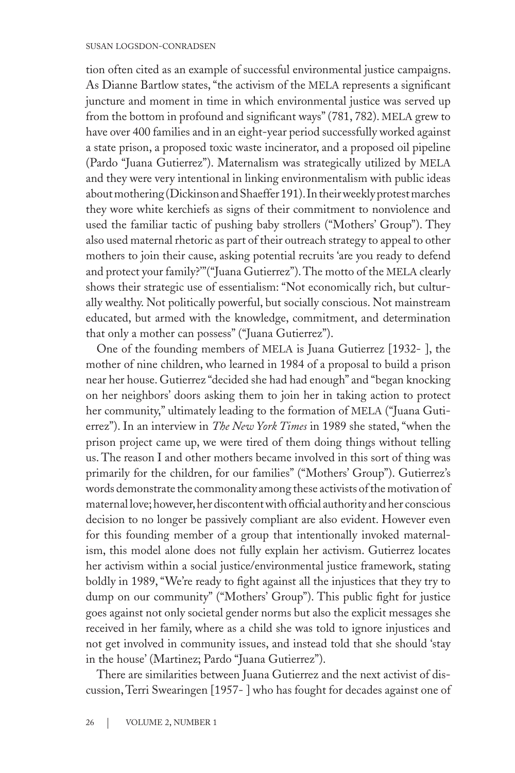tion often cited as an example of successful environmental justice campaigns. As Dianne Bartlow states, "the activism of the MELA represents a significant juncture and moment in time in which environmental justice was served up from the bottom in profound and significant ways" (781, 782). MELA grew to have over 400 families and in an eight-year period successfully worked against a state prison, a proposed toxic waste incinerator, and a proposed oil pipeline (Pardo "Juana Gutierrez"). Maternalism was strategically utilized by MELA and they were very intentional in linking environmentalism with public ideas about mothering (Dickinson and Shaeffer 191). In their weekly protest marches they wore white kerchiefs as signs of their commitment to nonviolence and used the familiar tactic of pushing baby strollers ("Mothers' Group"). They also used maternal rhetoric as part of their outreach strategy to appeal to other mothers to join their cause, asking potential recruits 'are you ready to defend and protect your family?""("Juana Gutierrez"). The motto of the MELA clearly shows their strategic use of essentialism: "Not economically rich, but culturally wealthy. Not politically powerful, but socially conscious. Not mainstream educated, but armed with the knowledge, commitment, and determination that only a mother can possess" ("Juana Gutierrez").

One of the founding members of MELA is Juana Gutierrez [1932-], the mother of nine children, who learned in 1984 of a proposal to build a prison near her house. Gutierrez "decided she had had enough" and "began knocking on her neighbors' doors asking them to join her in taking action to protect her community," ultimately leading to the formation of MELA ("Juana Gutierrez"). In an interview in *The New York Times* in 1989 she stated, "when the prison project came up, we were tired of them doing things without telling us. The reason I and other mothers became involved in this sort of thing was primarily for the children, for our families" ("Mothers' Group"). Gutierrez's words demonstrate the commonality among these activists of the motivation of maternal love; however, her discontent with official authority and her conscious decision to no longer be passively compliant are also evident. However even for this founding member of a group that intentionally invoked maternalism, this model alone does not fully explain her activism. Gutierrez locates her activism within a social justice/environmental justice framework, stating boldly in 1989, "We're ready to fight against all the injustices that they try to dump on our community" ("Mothers' Group"). This public fight for justice goes against not only societal gender norms but also the explicit messages she received in her family, where as a child she was told to ignore injustices and not get involved in community issues, and instead told that she should 'stay in the house' (Martinez; Pardo "Juana Gutierrez").

There are similarities between Juana Gutierrez and the next activist of discussion, Terri Swearingen [1957- ] who has fought for decades against one of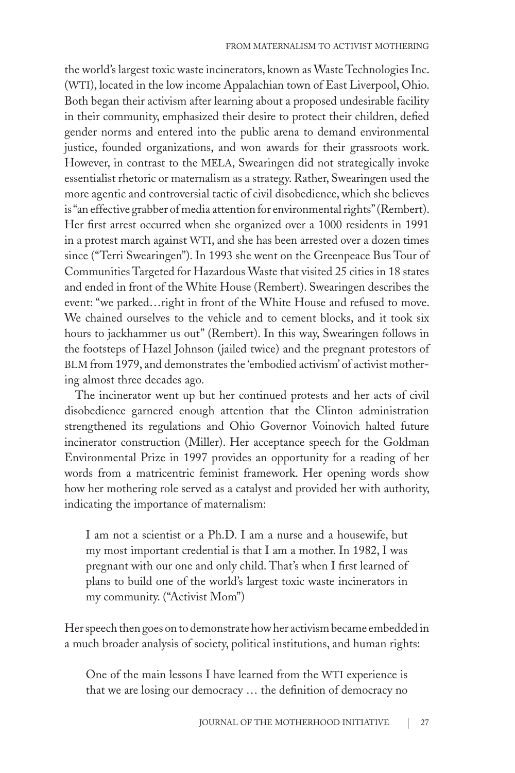the world's largest toxic waste incinerators, known as Waste Technologies Inc. (WTI), located in the low income Appalachian town of East Liverpool, Ohio. Both began their activism after learning about a proposed undesirable facility in their community, emphasized their desire to protect their children, defied gender norms and entered into the public arena to demand environmental justice, founded organizations, and won awards for their grassroots work. However, in contrast to the MELA, Swearingen did not strategically invoke essentialist rhetoric or maternalism as a strategy. Rather, Swearingen used the more agentic and controversial tactic of civil disobedience, which she believes is "an effective grabber of media attention for environmental rights" (Rembert). Her first arrest occurred when she organized over a 1000 residents in 1991 in a protest march against WTI, and she has been arrested over a dozen times since ("Terri Swearingen"). In 1993 she went on the Greenpeace Bus Tour of Communities Targeted for Hazardous Waste that visited 25 cities in 18 states and ended in front of the White House (Rembert). Swearingen describes the event: "we parked…right in front of the White House and refused to move. We chained ourselves to the vehicle and to cement blocks, and it took six hours to jackhammer us out" (Rembert). In this way, Swearingen follows in the footsteps of Hazel Johnson (jailed twice) and the pregnant protestors of BLM from 1979, and demonstrates the 'embodied activism' of activist mothering almost three decades ago.

The incinerator went up but her continued protests and her acts of civil disobedience garnered enough attention that the Clinton administration strengthened its regulations and Ohio Governor Voinovich halted future incinerator construction (Miller). Her acceptance speech for the Goldman Environmental Prize in 1997 provides an opportunity for a reading of her words from a matricentric feminist framework. Her opening words show how her mothering role served as a catalyst and provided her with authority, indicating the importance of maternalism:

I am not a scientist or a Ph.D. I am a nurse and a housewife, but my most important credential is that I am a mother. In 1982, I was pregnant with our one and only child. That's when I first learned of plans to build one of the world's largest toxic waste incinerators in my community. ("Activist Mom")

Her speech then goes on to demonstrate how her activism became embedded in a much broader analysis of society, political institutions, and human rights:

One of the main lessons I have learned from the WTI experience is that we are losing our democracy … the definition of democracy no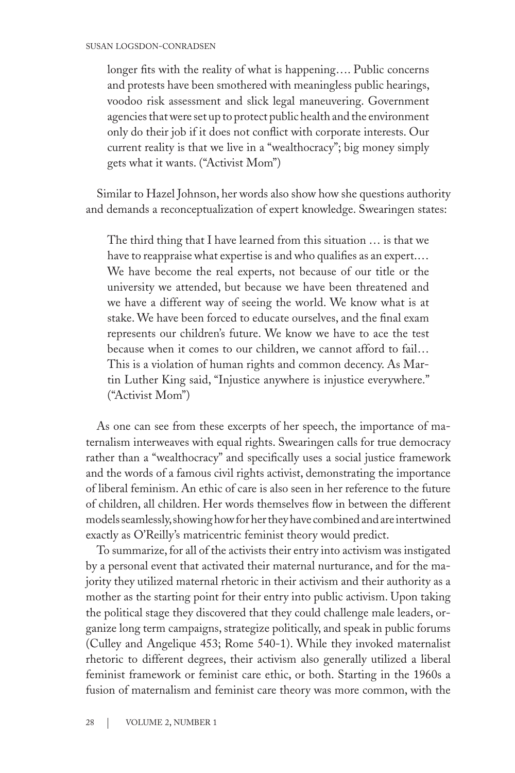longer fits with the reality of what is happening…. Public concerns and protests have been smothered with meaningless public hearings, voodoo risk assessment and slick legal maneuvering. Government agencies that were set up to protect public health and the environment only do their job if it does not conflict with corporate interests. Our current reality is that we live in a "wealthocracy"; big money simply gets what it wants. ("Activist Mom")

Similar to Hazel Johnson, her words also show how she questions authority and demands a reconceptualization of expert knowledge. Swearingen states:

The third thing that I have learned from this situation … is that we have to reappraise what expertise is and who qualifies as an expert.… We have become the real experts, not because of our title or the university we attended, but because we have been threatened and we have a different way of seeing the world. We know what is at stake. We have been forced to educate ourselves, and the final exam represents our children's future. We know we have to ace the test because when it comes to our children, we cannot afford to fail… This is a violation of human rights and common decency. As Martin Luther King said, "Injustice anywhere is injustice everywhere." ("Activist Mom")

As one can see from these excerpts of her speech, the importance of maternalism interweaves with equal rights. Swearingen calls for true democracy rather than a "wealthocracy" and specifically uses a social justice framework and the words of a famous civil rights activist, demonstrating the importance of liberal feminism. An ethic of care is also seen in her reference to the future of children, all children. Her words themselves flow in between the different models seamlessly, showing how for her they have combined and are intertwined exactly as O'Reilly's matricentric feminist theory would predict.

To summarize, for all of the activists their entry into activism was instigated by a personal event that activated their maternal nurturance, and for the majority they utilized maternal rhetoric in their activism and their authority as a mother as the starting point for their entry into public activism. Upon taking the political stage they discovered that they could challenge male leaders, organize long term campaigns, strategize politically, and speak in public forums (Culley and Angelique 453; Rome 540-1). While they invoked maternalist rhetoric to different degrees, their activism also generally utilized a liberal feminist framework or feminist care ethic, or both. Starting in the 1960s a fusion of maternalism and feminist care theory was more common, with the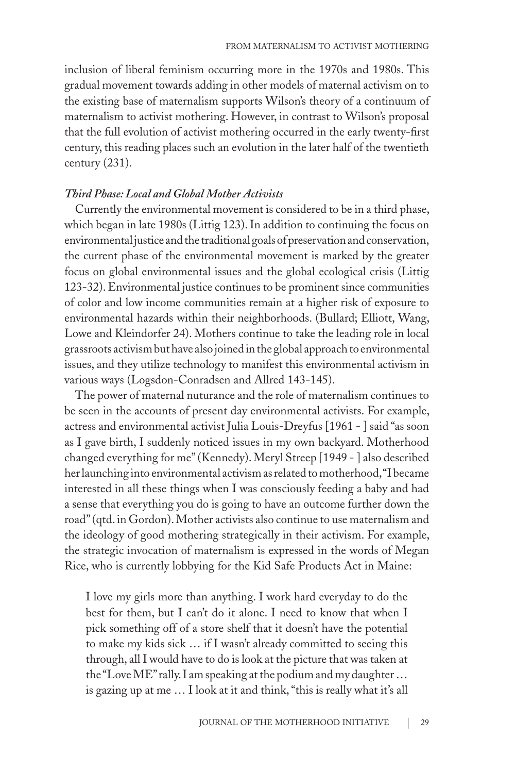inclusion of liberal feminism occurring more in the 1970s and 1980s. This gradual movement towards adding in other models of maternal activism on to the existing base of maternalism supports Wilson's theory of a continuum of maternalism to activist mothering. However, in contrast to Wilson's proposal that the full evolution of activist mothering occurred in the early twenty-first century, this reading places such an evolution in the later half of the twentieth century (231).

#### *Third Phase: Local and Global Mother Activists*

Currently the environmental movement is considered to be in a third phase, which began in late 1980s (Littig 123). In addition to continuing the focus on environmental justice and the traditional goals of preservation and conservation, the current phase of the environmental movement is marked by the greater focus on global environmental issues and the global ecological crisis (Littig 123-32). Environmental justice continues to be prominent since communities of color and low income communities remain at a higher risk of exposure to environmental hazards within their neighborhoods. (Bullard; Elliott, Wang, Lowe and Kleindorfer 24). Mothers continue to take the leading role in local grassroots activism but have also joined in the global approach to environmental issues, and they utilize technology to manifest this environmental activism in various ways (Logsdon-Conradsen and Allred 143-145).

The power of maternal nuturance and the role of maternalism continues to be seen in the accounts of present day environmental activists. For example, actress and environmental activist Julia Louis-Dreyfus [1961 - ] said "as soon as I gave birth, I suddenly noticed issues in my own backyard. Motherhood changed everything for me" (Kennedy). Meryl Streep [1949 - ] also described her launching into environmental activism as related to motherhood, "I became interested in all these things when I was consciously feeding a baby and had a sense that everything you do is going to have an outcome further down the road" (qtd. in Gordon). Mother activists also continue to use maternalism and the ideology of good mothering strategically in their activism. For example, the strategic invocation of maternalism is expressed in the words of Megan Rice, who is currently lobbying for the Kid Safe Products Act in Maine:

I love my girls more than anything. I work hard everyday to do the best for them, but I can't do it alone. I need to know that when I pick something off of a store shelf that it doesn't have the potential to make my kids sick … if I wasn't already committed to seeing this through, all I would have to do is look at the picture that was taken at the "Love ME" rally. I am speaking at the podium and my daughter … is gazing up at me … I look at it and think, "this is really what it's all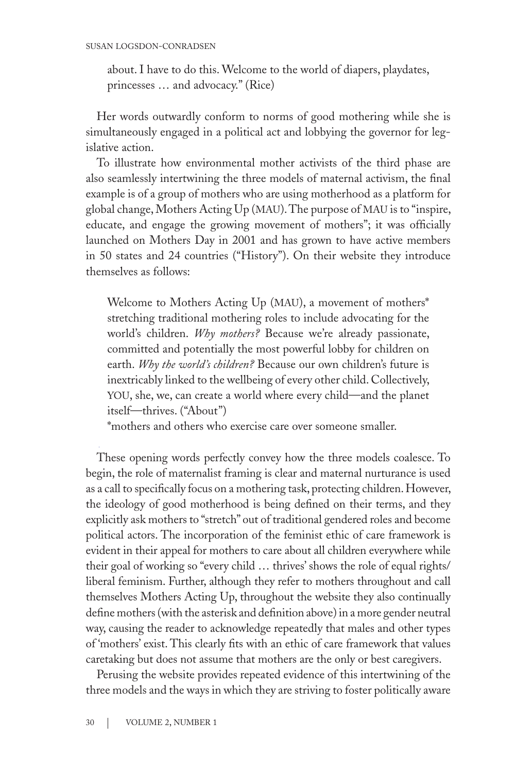about. I have to do this. Welcome to the world of diapers, playdates, princesses … and advocacy." (Rice)

Her words outwardly conform to norms of good mothering while she is simultaneously engaged in a political act and lobbying the governor for legislative action.

To illustrate how environmental mother activists of the third phase are also seamlessly intertwining the three models of maternal activism, the final example is of a group of mothers who are using motherhood as a platform for global change, Mothers Acting Up (MAU). The purpose of MAU is to "inspire, educate, and engage the growing movement of mothers"; it was officially launched on Mothers Day in 2001 and has grown to have active members in 50 states and 24 countries ("History"). On their website they introduce themselves as follows:

Welcome to Mothers Acting Up (MAU), a movement of mothers\* stretching traditional mothering roles to include advocating for the world's children. *Why mothers?* Because we're already passionate, committed and potentially the most powerful lobby for children on earth. *Why the world's children?* Because our own children's future is inextricably linked to the wellbeing of every other child. Collectively, you, she, we, can create a world where every child—and the planet itself—thrives. ("About")

\*mothers and others who exercise care over someone smaller.

These opening words perfectly convey how the three models coalesce. To begin, the role of maternalist framing is clear and maternal nurturance is used as a call to specifically focus on a mothering task, protecting children. However, the ideology of good motherhood is being defined on their terms, and they explicitly ask mothers to "stretch" out of traditional gendered roles and become political actors. The incorporation of the feminist ethic of care framework is evident in their appeal for mothers to care about all children everywhere while their goal of working so "every child … thrives' shows the role of equal rights/ liberal feminism. Further, although they refer to mothers throughout and call themselves Mothers Acting Up, throughout the website they also continually define mothers (with the asterisk and definition above) in a more gender neutral way, causing the reader to acknowledge repeatedly that males and other types of 'mothers' exist. This clearly fits with an ethic of care framework that values caretaking but does not assume that mothers are the only or best caregivers.

Perusing the website provides repeated evidence of this intertwining of the three models and the ways in which they are striving to foster politically aware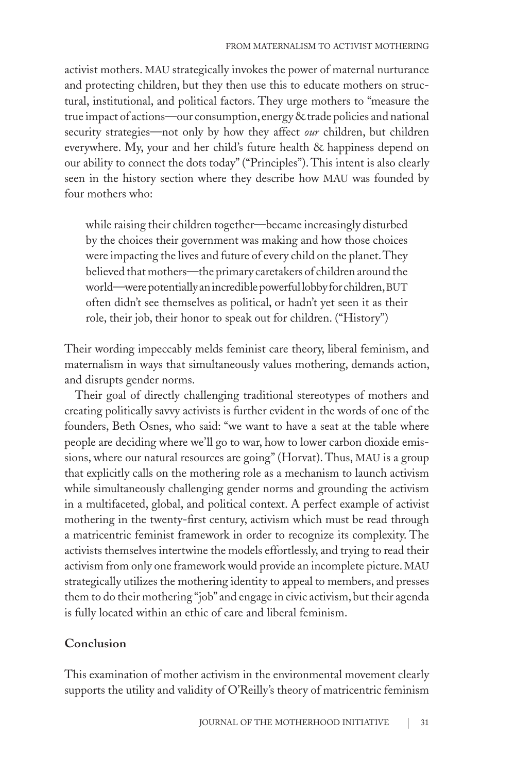activist mothers. MAU strategically invokes the power of maternal nurturance and protecting children, but they then use this to educate mothers on structural, institutional, and political factors. They urge mothers to "measure the true impact of actions—our consumption, energy & trade policies and national security strategies—not only by how they affect *our* children, but children everywhere. My, your and her child's future health & happiness depend on our ability to connect the dots today" ("Principles"). This intent is also clearly seen in the history section where they describe how MAU was founded by four mothers who:

while raising their children together—became increasingly disturbed by the choices their government was making and how those choices were impacting the lives and future of every child on the planet. They believed that mothers—the primary caretakers of children around the world—were potentially an incredible powerful lobby for children, BUT often didn't see themselves as political, or hadn't yet seen it as their role, their job, their honor to speak out for children. ("History")

Their wording impeccably melds feminist care theory, liberal feminism, and maternalism in ways that simultaneously values mothering, demands action, and disrupts gender norms.

Their goal of directly challenging traditional stereotypes of mothers and creating politically savvy activists is further evident in the words of one of the founders, Beth Osnes, who said: "we want to have a seat at the table where people are deciding where we'll go to war, how to lower carbon dioxide emissions, where our natural resources are going" (Horvat). Thus, MAU is a group that explicitly calls on the mothering role as a mechanism to launch activism while simultaneously challenging gender norms and grounding the activism in a multifaceted, global, and political context. A perfect example of activist mothering in the twenty-first century, activism which must be read through a matricentric feminist framework in order to recognize its complexity. The activists themselves intertwine the models effortlessly, and trying to read their activism from only one framework would provide an incomplete picture. MAU strategically utilizes the mothering identity to appeal to members, and presses them to do their mothering "job" and engage in civic activism, but their agenda is fully located within an ethic of care and liberal feminism.

#### **Conclusion**

This examination of mother activism in the environmental movement clearly supports the utility and validity of O'Reilly's theory of matricentric feminism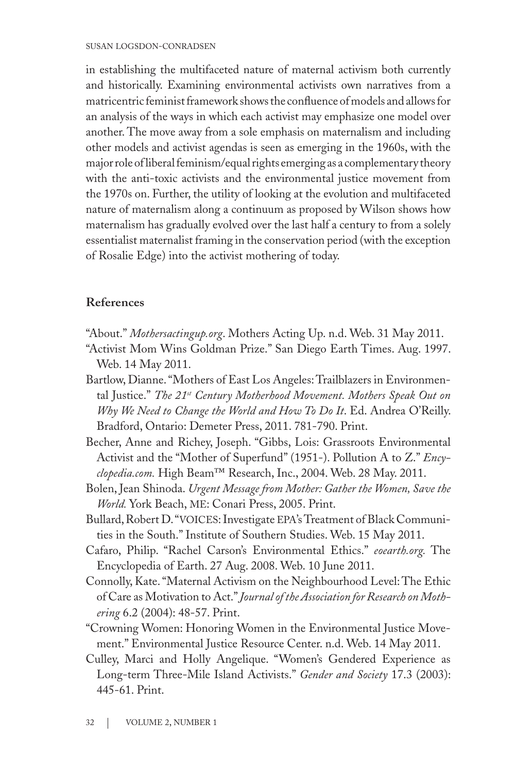in establishing the multifaceted nature of maternal activism both currently and historically. Examining environmental activists own narratives from a matricentric feminist framework shows the confluence of models and allows for an analysis of the ways in which each activist may emphasize one model over another. The move away from a sole emphasis on maternalism and including other models and activist agendas is seen as emerging in the 1960s, with the major role of liberal feminism/equal rights emerging as a complementary theory with the anti-toxic activists and the environmental justice movement from the 1970s on. Further, the utility of looking at the evolution and multifaceted nature of maternalism along a continuum as proposed by Wilson shows how maternalism has gradually evolved over the last half a century to from a solely essentialist maternalist framing in the conservation period (with the exception of Rosalie Edge) into the activist mothering of today.

## **References**

- "About." *Mothersactingup.org*. Mothers Acting Up. n.d. Web. 31 May 2011.
- "Activist Mom Wins Goldman Prize." San Diego Earth Times. Aug. 1997. Web. 14 May 2011.
- Bartlow, Dianne. "Mothers of East Los Angeles: Trailblazers in Environmental Justice." The 21<sup>st</sup> Century Motherhood Movement. Mothers Speak Out on *Why We Need to Change the World and How To Do It*. Ed. Andrea O'Reilly. Bradford, Ontario: Demeter Press, 2011. 781-790. Print.
- Becher, Anne and Richey, Joseph. "Gibbs, Lois: Grassroots Environmental Activist and the "Mother of Superfund" (1951-). Pollution A to Z." *Encyclopedia.com.* High Beam™ Research, Inc., 2004. Web. 28 May. 2011.
- Bolen, Jean Shinoda. *Urgent Message from Mother: Gather the Women, Save the World.* York Beach, me: Conari Press, 2005. Print.
- Bullard, Robert D. "VOICES: Investigate EPA's Treatment of Black Communities in the South." Institute of Southern Studies. Web. 15 May 2011.
- Cafaro, Philip. "Rachel Carson's Environmental Ethics." *eoearth.org.* The Encyclopedia of Earth. 27 Aug. 2008. Web. 10 June 2011.
- Connolly, Kate. "Maternal Activism on the Neighbourhood Level: The Ethic of Care as Motivation to Act." *Journal of the Association for Research on Mothering* 6.2 (2004): 48-57. Print.
- "Crowning Women: Honoring Women in the Environmental Justice Movement." Environmental Justice Resource Center. n.d. Web. 14 May 2011.
- Culley, Marci and Holly Angelique. "Women's Gendered Experience as Long-term Three-Mile Island Activists." *Gender and Society* 17.3 (2003): 445-61. Print.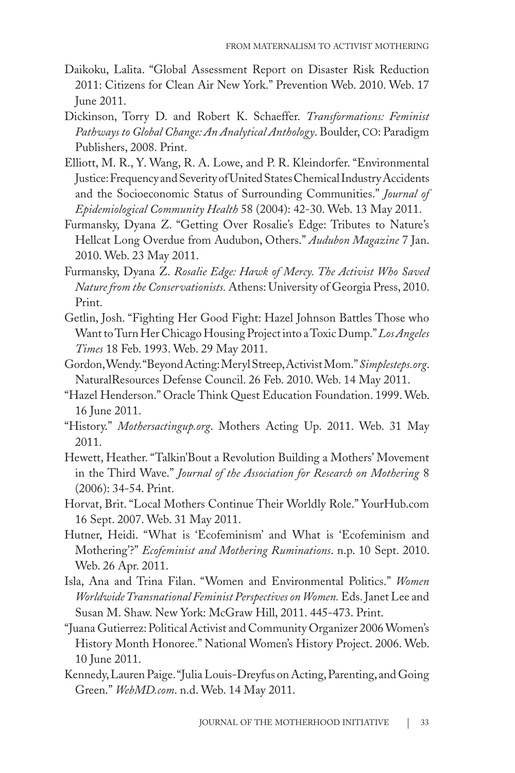- Daikoku, Lalita. "Global Assessment Report on Disaster Risk Reduction 2011: Citizens for Clean Air New York." Prevention Web. 2010. Web. 17 June 2011.
- Dickinson, Torry D. and Robert K. Schaeffer. *Transformations: Feminist Pathways to Global Change: An Analytical Anthology*. Boulder, co: Paradigm Publishers, 2008. Print.
- Elliott, M. R., Y. Wang, R. A. Lowe, and P. R. Kleindorfer. "Environmental Justice: Frequency and Severity of United States Chemical Industry Accidents and the Socioeconomic Status of Surrounding Communities." *Journal of Epidemiological Community Health* 58 (2004): 42-30. Web. 13 May 2011.
- Furmansky, Dyana Z. "Getting Over Rosalie's Edge: Tributes to Nature's Hellcat Long Overdue from Audubon, Others." *Audubon Magazine* 7 Jan. 2010. Web. 23 May 2011.
- Furmansky, Dyana Z. *Rosalie Edge: Hawk of Mercy. The Activist Who Saved Nature from the Conservationists.* Athens: University of Georgia Press, 2010. Print.
- Getlin, Josh. "Fighting Her Good Fight: Hazel Johnson Battles Those who Want to Turn Her Chicago Housing Project into a Toxic Dump." *Los Angeles Times* 18 Feb. 1993. Web. 29 May 2011.
- Gordon, Wendy. "Beyond Acting: Meryl Streep, Activist Mom." *Simplesteps.org*. NaturalResources Defense Council. 26 Feb. 2010. Web. 14 May 2011.
- "Hazel Henderson." Oracle Think Quest Education Foundation. 1999. Web. 16 June 2011.
- "History." *Mothersactingup.org*. Mothers Acting Up. 2011. Web. 31 May 2011.
- Hewett, Heather. "Talkin'Bout a Revolution Building a Mothers' Movement in the Third Wave." *Journal of the Association for Research on Mothering* 8 (2006): 34-54. Print.
- Horvat, Brit. "Local Mothers Continue Their Worldly Role." YourHub.com 16 Sept. 2007. Web. 31 May 2011.
- Hutner, Heidi. "What is 'Ecofeminism' and What is 'Ecofeminism and Mothering'?" *Ecofeminist and Mothering Ruminations*. n.p. 10 Sept. 2010. Web. 26 Apr. 2011.
- Isla, Ana and Trina Filan. "Women and Environmental Politics." *Women Worldwide Transnational Feminist Perspectives on Women.* Eds. Janet Lee and Susan M. Shaw. New York: McGraw Hill, 2011. 445-473. Print.
- "Juana Gutierrez: Political Activist and Community Organizer 2006 Women's History Month Honoree." National Women's History Project. 2006. Web. 10 June 2011.
- Kennedy, Lauren Paige. "Julia Louis-Dreyfus on Acting, Parenting, and Going Green." *WebMD.com*. n.d. Web. 14 May 2011.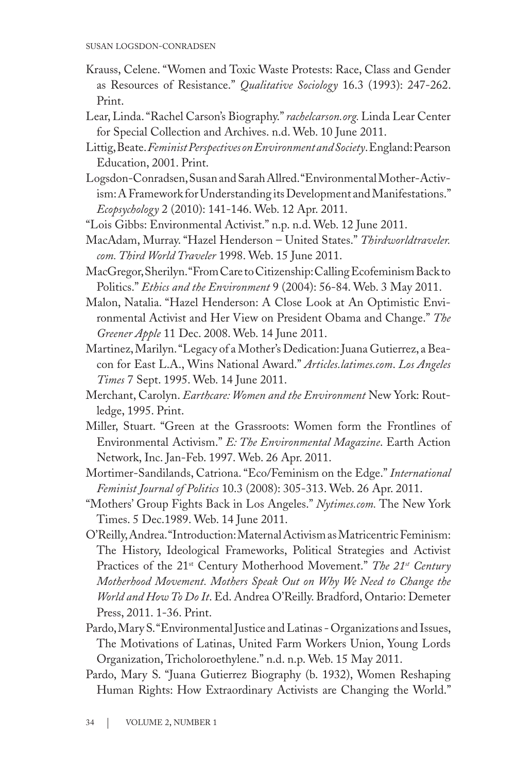- Krauss, Celene. "Women and Toxic Waste Protests: Race, Class and Gender as Resources of Resistance." *Qualitative Sociology* 16.3 (1993): 247-262. Print.
- Lear, Linda. "Rachel Carson's Biography." *rachelcarson.org.* Linda Lear Center for Special Collection and Archives. n.d. Web. 10 June 2011.
- Littig, Beate. *Feminist Perspectives on Environment and Society*. England: Pearson Education, 2001. Print.
- Logsdon-Conradsen, Susan and Sarah Allred. "Environmental Mother-Activism: A Framework for Understanding its Development and Manifestations." *Ecopsychology* 2 (2010): 141-146. Web. 12 Apr. 2011.
- "Lois Gibbs: Environmental Activist." n.p. n.d. Web. 12 June 2011.
- MacAdam, Murray. "Hazel Henderson United States." *Thirdworldtraveler. com. Third World Traveler* 1998. Web. 15 June 2011.
- MacGregor, Sherilyn. "From Care to Citizenship: Calling Ecofeminism Back to Politics." *Ethics and the Environment* 9 (2004): 56-84. Web. 3 May 2011.
- Malon, Natalia. "Hazel Henderson: A Close Look at An Optimistic Environmental Activist and Her View on President Obama and Change." *The Greener Apple* 11 Dec. 2008. Web. 14 June 2011.
- Martinez, Marilyn. "Legacy of a Mother's Dedication: Juana Gutierrez, a Beacon for East L.A., Wins National Award." *Articles.latimes.com*. *Los Angeles Times* 7 Sept. 1995. Web. 14 June 2011.
- Merchant, Carolyn. *Earthcare: Women and the Environment* New York: Routledge, 1995. Print.
- Miller, Stuart. "Green at the Grassroots: Women form the Frontlines of Environmental Activism." *E: The Environmental Magazine*. Earth Action Network, Inc. Jan-Feb. 1997. Web. 26 Apr. 2011.
- Mortimer-Sandilands, Catriona. "Eco/Feminism on the Edge." *International Feminist Journal of Politics* 10.3 (2008): 305-313. Web. 26 Apr. 2011.
- "Mothers' Group Fights Back in Los Angeles." *Nytimes.com.* The New York Times. 5 Dec.1989. Web. 14 June 2011.
- O'Reilly, Andrea. "Introduction: Maternal Activism as Matricentric Feminism: The History, Ideological Frameworks, Political Strategies and Activist Practices of the 21<sup>st</sup> Century Motherhood Movement." *The 21<sup>st</sup> Century Motherhood Movement. Mothers Speak Out on Why We Need to Change the World and How To Do It*. Ed. Andrea O'Reilly. Bradford, Ontario: Demeter Press, 2011. 1-36. Print.
- Pardo, Mary S. "Environmental Justice and Latinas Organizations and Issues, The Motivations of Latinas, United Farm Workers Union, Young Lords Organization, Tricholoroethylene." n.d. n.p. Web. 15 May 2011.
- Pardo, Mary S. "Juana Gutierrez Biography (b. 1932), Women Reshaping Human Rights: How Extraordinary Activists are Changing the World."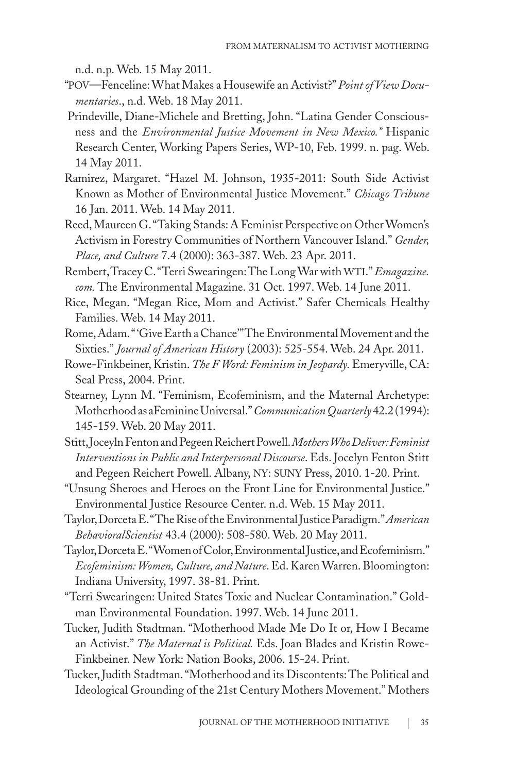n.d. n.p. Web. 15 May 2011.

- "pov—Fenceline: What Makes a Housewife an Activist?" *Point of View Documentaries*., n.d. Web. 18 May 2011.
- Prindeville, Diane-Michele and Bretting, John. "Latina Gender Consciousness and the *Environmental Justice Movement in New Mexico."* Hispanic Research Center, Working Papers Series, WP-10, Feb. 1999. n. pag. Web. 14 May 2011.
- Ramirez, Margaret. "Hazel M. Johnson, 1935-2011: South Side Activist Known as Mother of Environmental Justice Movement." *Chicago Tribune* 16 Jan. 2011. Web. 14 May 2011.
- Reed, Maureen G. "Taking Stands: A Feminist Perspective on Other Women's Activism in Forestry Communities of Northern Vancouver Island." *Gender, Place, and Culture* 7.4 (2000): 363-387. Web. 23 Apr. 2011.

Rembert, Tracey C. "Terri Swearingen: The Long War with WTI." *Emagazine*. *com.* The Environmental Magazine. 31 Oct. 1997. Web. 14 June 2011.

- Rice, Megan. "Megan Rice, Mom and Activist." Safer Chemicals Healthy Families. Web. 14 May 2011.
- Rome, Adam. " 'Give Earth a Chance'" The Environmental Movement and the Sixties." *Journal of American History* (2003): 525-554. Web. 24 Apr. 2011.
- Rowe-Finkbeiner, Kristin. *The F Word: Feminism in Jeopardy.* Emeryville, CA: Seal Press, 2004. Print.
- Stearney, Lynn M. "Feminism, Ecofeminism, and the Maternal Archetype: Motherhood as aFeminine Universal." *Communication Quarterly* 42.2 (1994): 145-159. Web. 20 May 2011.
- Stitt, Joceyln Fenton and Pegeen Reichert Powell. *Mothers Who Deliver: Feminist Interventions in Public and Interpersonal Discourse*. Eds. Jocelyn Fenton Stitt and Pegeen Reichert Powell. Albany, ny: suny Press, 2010. 1-20. Print.
- "Unsung Sheroes and Heroes on the Front Line for Environmental Justice." Environmental Justice Resource Center. n.d. Web. 15 May 2011.
- Taylor, Dorceta E. "The Rise of the Environmental Justice Paradigm." *American BehavioralScientist* 43.4 (2000): 508-580. Web. 20 May 2011.
- Taylor, Dorceta E. "Women of Color, Environmental Justice, and Ecofeminism." *Ecofeminism: Women, Culture, and Nature*. Ed. Karen Warren. Bloomington: Indiana University, 1997. 38-81. Print.
- "Terri Swearingen: United States Toxic and Nuclear Contamination." Goldman Environmental Foundation. 1997. Web. 14 June 2011.
- Tucker, Judith Stadtman. "Motherhood Made Me Do It or, How I Became an Activist." *The Maternal is Political.* Eds. Joan Blades and Kristin Rowe-Finkbeiner. New York: Nation Books, 2006. 15-24. Print.
- Tucker, Judith Stadtman. "Motherhood and its Discontents: The Political and Ideological Grounding of the 21st Century Mothers Movement." Mothers